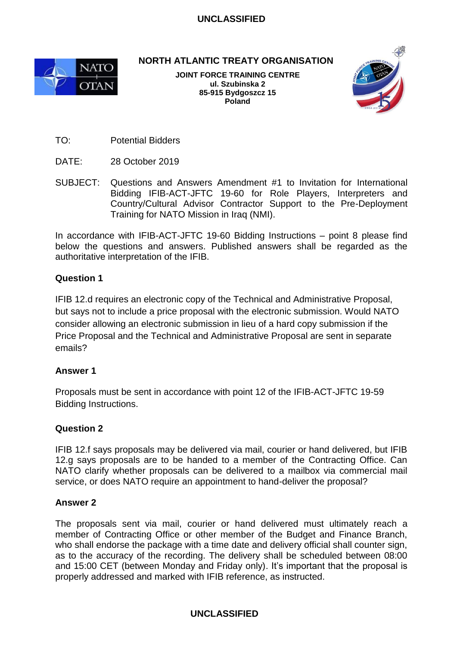

**NORTH ATLANTIC TREATY ORGANISATION**

**JOINT FORCE TRAINING CENTRE ul. Szubinska 2 85-915 Bydgoszcz 15 Poland**



- TO: Potential Bidders
- DATE: 28 October 2019
- SUBJECT: Questions and Answers Amendment #1 to Invitation for International Bidding IFIB-ACT-JFTC 19-60 for Role Players, Interpreters and Country/Cultural Advisor Contractor Support to the Pre-Deployment Training for NATO Mission in Iraq (NMI).

In accordance with IFIB-ACT-JFTC 19-60 Bidding Instructions – point 8 please find below the questions and answers. Published answers shall be regarded as the authoritative interpretation of the IFIB.

### **Question 1**

IFIB 12.d requires an electronic copy of the Technical and Administrative Proposal, but says not to include a price proposal with the electronic submission. Would NATO consider allowing an electronic submission in lieu of a hard copy submission if the Price Proposal and the Technical and Administrative Proposal are sent in separate emails?

### **Answer 1**

Proposals must be sent in accordance with point 12 of the IFIB-ACT-JFTC 19-59 Bidding Instructions.

### **Question 2**

IFIB 12.f says proposals may be delivered via mail, courier or hand delivered, but IFIB 12.g says proposals are to be handed to a member of the Contracting Office. Can NATO clarify whether proposals can be delivered to a mailbox via commercial mail service, or does NATO require an appointment to hand-deliver the proposal?

### **Answer 2**

The proposals sent via mail, courier or hand delivered must ultimately reach a member of Contracting Office or other member of the Budget and Finance Branch, who shall endorse the package with a time date and delivery official shall counter sign, as to the accuracy of the recording. The delivery shall be scheduled between 08:00 and 15:00 CET (between Monday and Friday only). It's important that the proposal is properly addressed and marked with IFIB reference, as instructed.

### **UNCLASSIFIED**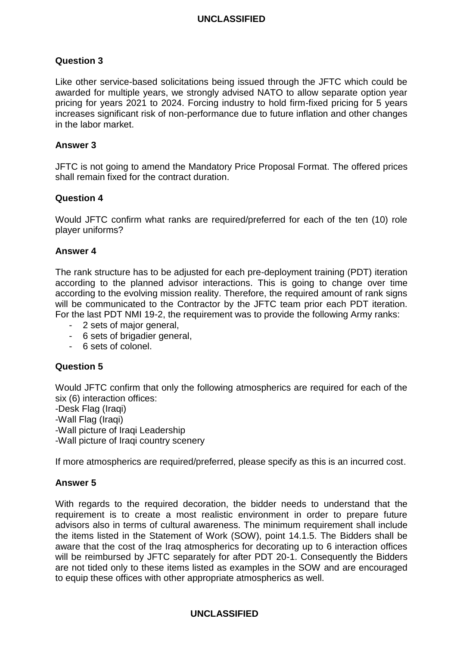### **Question 3**

Like other service-based solicitations being issued through the JFTC which could be awarded for multiple years, we strongly advised NATO to allow separate option year pricing for years 2021 to 2024. Forcing industry to hold firm-fixed pricing for 5 years increases significant risk of non-performance due to future inflation and other changes in the labor market.

#### **Answer 3**

JFTC is not going to amend the Mandatory Price Proposal Format. The offered prices shall remain fixed for the contract duration.

#### **Question 4**

Would JFTC confirm what ranks are required/preferred for each of the ten (10) role player uniforms?

#### **Answer 4**

The rank structure has to be adjusted for each pre-deployment training (PDT) iteration according to the planned advisor interactions. This is going to change over time according to the evolving mission reality. Therefore, the required amount of rank signs will be communicated to the Contractor by the JFTC team prior each PDT iteration. For the last PDT NMI 19-2, the requirement was to provide the following Army ranks:

- 2 sets of major general,
- 6 sets of brigadier general,
- 6 sets of colonel.

### **Question 5**

Would JFTC confirm that only the following atmospherics are required for each of the six (6) interaction offices:

-Desk Flag (Iraqi) -Wall Flag (Iraqi) -Wall picture of Iraqi Leadership -Wall picture of Iraqi country scenery

If more atmospherics are required/preferred, please specify as this is an incurred cost.

### **Answer 5**

With regards to the required decoration, the bidder needs to understand that the requirement is to create a most realistic environment in order to prepare future advisors also in terms of cultural awareness. The minimum requirement shall include the items listed in the Statement of Work (SOW), point 14.1.5. The Bidders shall be aware that the cost of the Iraq atmospherics for decorating up to 6 interaction offices will be reimbursed by JFTC separately for after PDT 20-1. Consequently the Bidders are not tided only to these items listed as examples in the SOW and are encouraged to equip these offices with other appropriate atmospherics as well.

#### **UNCLASSIFIED**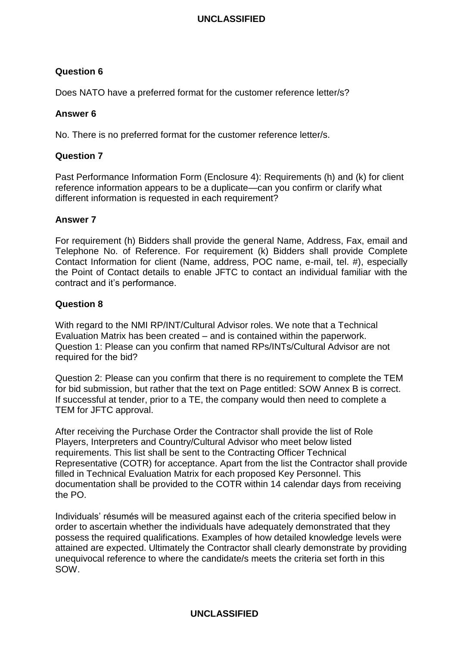# **Question 6**

Does NATO have a preferred format for the customer reference letter/s?

### **Answer 6**

No. There is no preferred format for the customer reference letter/s.

# **Question 7**

Past Performance Information Form (Enclosure 4): Requirements (h) and (k) for client reference information appears to be a duplicate—can you confirm or clarify what different information is requested in each requirement?

### **Answer 7**

For requirement (h) Bidders shall provide the general Name, Address, Fax, email and Telephone No. of Reference. For requirement (k) Bidders shall provide Complete Contact Information for client (Name, address, POC name, e-mail, tel. #), especially the Point of Contact details to enable JFTC to contact an individual familiar with the contract and it's performance.

### **Question 8**

With regard to the NMI RP/INT/Cultural Advisor roles. We note that a Technical Evaluation Matrix has been created – and is contained within the paperwork. Question 1: Please can you confirm that named RPs/INTs/Cultural Advisor are not required for the bid?

Question 2: Please can you confirm that there is no requirement to complete the TEM for bid submission, but rather that the text on Page entitled: SOW Annex B is correct. If successful at tender, prior to a TE, the company would then need to complete a TEM for JFTC approval.

After receiving the Purchase Order the Contractor shall provide the list of Role Players, Interpreters and Country/Cultural Advisor who meet below listed requirements. This list shall be sent to the Contracting Officer Technical Representative (COTR) for acceptance. Apart from the list the Contractor shall provide filled in Technical Evaluation Matrix for each proposed Key Personnel. This documentation shall be provided to the COTR within 14 calendar days from receiving the PO.

Individuals' résumés will be measured against each of the criteria specified below in order to ascertain whether the individuals have adequately demonstrated that they possess the required qualifications. Examples of how detailed knowledge levels were attained are expected. Ultimately the Contractor shall clearly demonstrate by providing unequivocal reference to where the candidate/s meets the criteria set forth in this SOW.